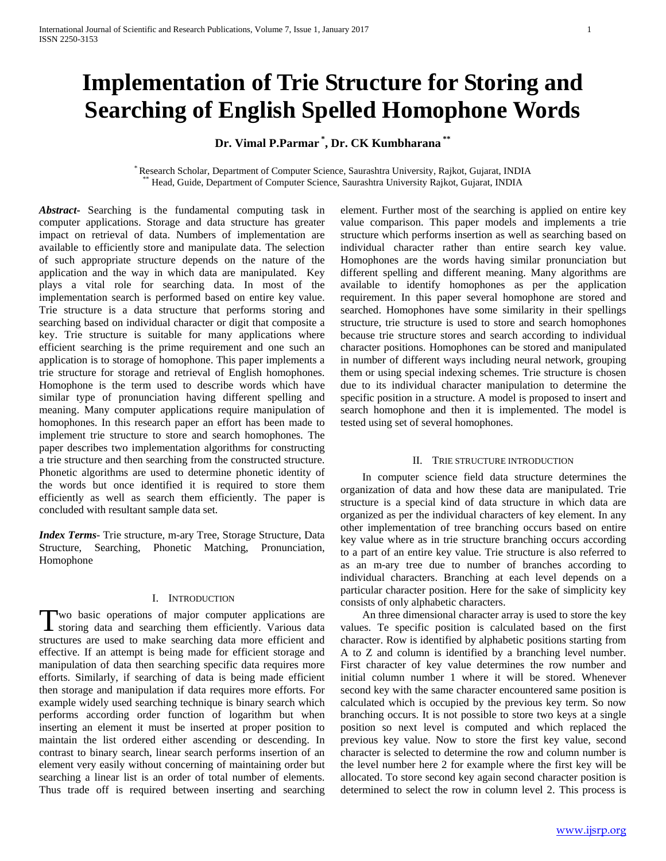# **Implementation of Trie Structure for Storing and Searching of English Spelled Homophone Words**

# **Dr. Vimal P.Parmar \* , Dr. CK Kumbharana \*\***

\* Research Scholar, Department of Computer Science, Saurashtra University, Rajkot, Gujarat, INDIA \*\* Head, Guide, Department of Computer Science, Saurashtra University Rajkot, Gujarat, INDIA

*Abstract***-** Searching is the fundamental computing task in computer applications. Storage and data structure has greater impact on retrieval of data. Numbers of implementation are available to efficiently store and manipulate data. The selection of such appropriate structure depends on the nature of the application and the way in which data are manipulated. Key plays a vital role for searching data. In most of the implementation search is performed based on entire key value. Trie structure is a data structure that performs storing and searching based on individual character or digit that composite a key. Trie structure is suitable for many applications where efficient searching is the prime requirement and one such an application is to storage of homophone. This paper implements a trie structure for storage and retrieval of English homophones. Homophone is the term used to describe words which have similar type of pronunciation having different spelling and meaning. Many computer applications require manipulation of homophones. In this research paper an effort has been made to implement trie structure to store and search homophones. The paper describes two implementation algorithms for constructing a trie structure and then searching from the constructed structure. Phonetic algorithms are used to determine phonetic identity of the words but once identified it is required to store them efficiently as well as search them efficiently. The paper is concluded with resultant sample data set.

*Index Terms*- Trie structure, m-ary Tree, Storage Structure, Data Structure, Searching, Phonetic Matching, Pronunciation, Homophone

# I. INTRODUCTION

wo basic operations of major computer applications are Two basic operations of major computer applications are storing data and searching them efficiently. Various data structures are used to make searching data more efficient and effective. If an attempt is being made for efficient storage and manipulation of data then searching specific data requires more efforts. Similarly, if searching of data is being made efficient then storage and manipulation if data requires more efforts. For example widely used searching technique is binary search which performs according order function of logarithm but when inserting an element it must be inserted at proper position to maintain the list ordered either ascending or descending. In contrast to binary search, linear search performs insertion of an element very easily without concerning of maintaining order but searching a linear list is an order of total number of elements. Thus trade off is required between inserting and searching

element. Further most of the searching is applied on entire key value comparison. This paper models and implements a trie structure which performs insertion as well as searching based on individual character rather than entire search key value. Homophones are the words having similar pronunciation but different spelling and different meaning. Many algorithms are available to identify homophones as per the application requirement. In this paper several homophone are stored and searched. Homophones have some similarity in their spellings structure, trie structure is used to store and search homophones because trie structure stores and search according to individual character positions. Homophones can be stored and manipulated in number of different ways including neural network, grouping them or using special indexing schemes. Trie structure is chosen due to its individual character manipulation to determine the specific position in a structure. A model is proposed to insert and search homophone and then it is implemented. The model is tested using set of several homophones.

# II. TRIE STRUCTURE INTRODUCTION

 In computer science field data structure determines the organization of data and how these data are manipulated. Trie structure is a special kind of data structure in which data are organized as per the individual characters of key element. In any other implementation of tree branching occurs based on entire key value where as in trie structure branching occurs according to a part of an entire key value. Trie structure is also referred to as an m-ary tree due to number of branches according to individual characters. Branching at each level depends on a particular character position. Here for the sake of simplicity key consists of only alphabetic characters.

 An three dimensional character array is used to store the key values. Te specific position is calculated based on the first character. Row is identified by alphabetic positions starting from A to Z and column is identified by a branching level number. First character of key value determines the row number and initial column number 1 where it will be stored. Whenever second key with the same character encountered same position is calculated which is occupied by the previous key term. So now branching occurs. It is not possible to store two keys at a single position so next level is computed and which replaced the previous key value. Now to store the first key value, second character is selected to determine the row and column number is the level number here 2 for example where the first key will be allocated. To store second key again second character position is determined to select the row in column level 2. This process is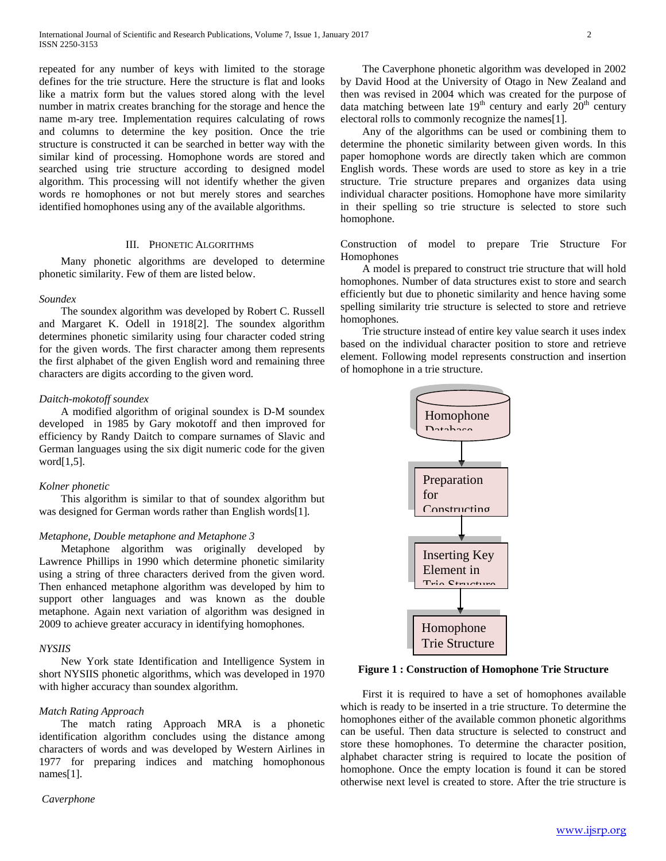repeated for any number of keys with limited to the storage defines for the trie structure. Here the structure is flat and looks like a matrix form but the values stored along with the level number in matrix creates branching for the storage and hence the name m-ary tree. Implementation requires calculating of rows and columns to determine the key position. Once the trie structure is constructed it can be searched in better way with the similar kind of processing. Homophone words are stored and searched using trie structure according to designed model algorithm. This processing will not identify whether the given words re homophones or not but merely stores and searches identified homophones using any of the available algorithms.

#### III. PHONETIC ALGORITHMS

 Many phonetic algorithms are developed to determine phonetic similarity. Few of them are listed below.

#### *Soundex*

 The soundex algorithm was developed by Robert C. Russell and Margaret K. Odell in 1918[2]. The soundex algorithm determines phonetic similarity using four character coded string for the given words. The first character among them represents the first alphabet of the given English word and remaining three characters are digits according to the given word.

#### *Daitch-mokotoff soundex*

 A modified algorithm of original soundex is D-M soundex developed in 1985 by Gary mokotoff and then improved for efficiency by Randy Daitch to compare surnames of Slavic and German languages using the six digit numeric code for the given word $[1,5]$ .

#### *Kolner phonetic*

 This algorithm is similar to that of soundex algorithm but was designed for German words rather than English words[1].

#### *Metaphone, Double metaphone and Metaphone 3*

 Metaphone algorithm was originally developed by Lawrence Phillips in 1990 which determine phonetic similarity using a string of three characters derived from the given word. Then enhanced metaphone algorithm was developed by him to support other languages and was known as the double metaphone. Again next variation of algorithm was designed in 2009 to achieve greater accuracy in identifying homophones.

#### *NYSIIS*

 New York state Identification and Intelligence System in short NYSIIS phonetic algorithms, which was developed in 1970 with higher accuracy than soundex algorithm.

# *Match Rating Approach*

 The match rating Approach MRA is a phonetic identification algorithm concludes using the distance among characters of words and was developed by Western Airlines in 1977 for preparing indices and matching homophonous names[1].

#### *Caverphone*

 The Caverphone phonetic algorithm was developed in 2002 by David Hood at the University of Otago in New Zealand and then was revised in 2004 which was created for the purpose of data matching between late  $19<sup>th</sup>$  century and early  $20<sup>th</sup>$  century electoral rolls to commonly recognize the names[1].

 Any of the algorithms can be used or combining them to determine the phonetic similarity between given words. In this paper homophone words are directly taken which are common English words. These words are used to store as key in a trie structure. Trie structure prepares and organizes data using individual character positions. Homophone have more similarity in their spelling so trie structure is selected to store such homophone.

Construction of model to prepare Trie Structure For Homophones

 A model is prepared to construct trie structure that will hold homophones. Number of data structures exist to store and search efficiently but due to phonetic similarity and hence having some spelling similarity trie structure is selected to store and retrieve homophones.

 Trie structure instead of entire key value search it uses index based on the individual character position to store and retrieve element. Following model represents construction and insertion of homophone in a trie structure.



# **Figure 1 : Construction of Homophone Trie Structure**

 First it is required to have a set of homophones available which is ready to be inserted in a trie structure. To determine the homophones either of the available common phonetic algorithms can be useful. Then data structure is selected to construct and store these homophones. To determine the character position, alphabet character string is required to locate the position of homophone. Once the empty location is found it can be stored otherwise next level is created to store. After the trie structure is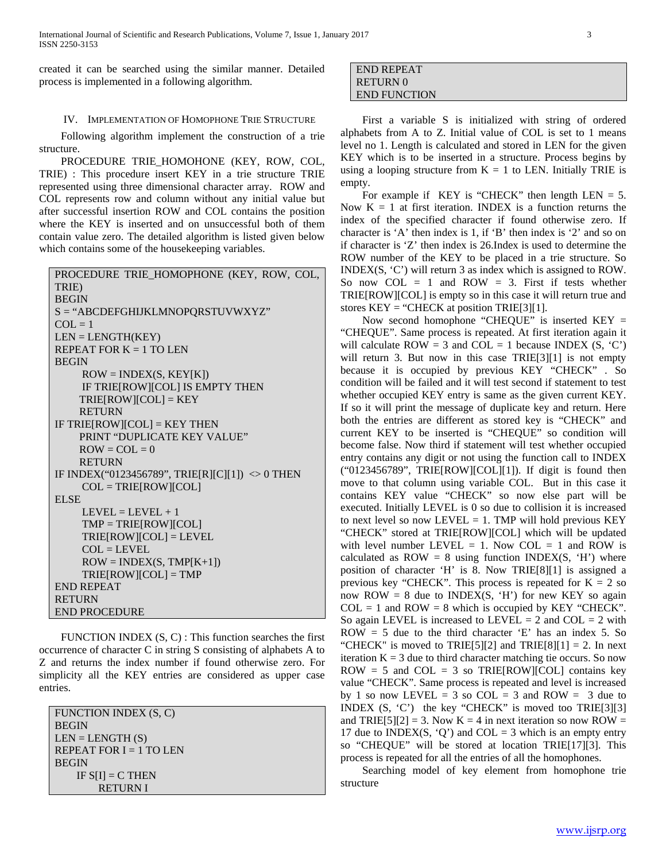created it can be searched using the similar manner. Detailed process is implemented in a following algorithm.

# IV. IMPLEMENTATION OF HOMOPHONE TRIE STRUCTURE

 Following algorithm implement the construction of a trie structure.

 PROCEDURE TRIE\_HOMOHONE (KEY, ROW, COL, TRIE) : This procedure insert KEY in a trie structure TRIE represented using three dimensional character array. ROW and COL represents row and column without any initial value but after successful insertion ROW and COL contains the position where the KEY is inserted and on unsuccessful both of them contain value zero. The detailed algorithm is listed given below which contains some of the housekeeping variables.

```
PROCEDURE TRIE_HOMOPHONE (KEY, ROW, COL, 
TRIE)
BEGIN
S = "ABCDEFGHIJKLMNOPQRSTUVWXYZ"
COL = 1LEN = LENGTH(KEY)
REPEAT FOR K = 1 TO LEN
BEGIN
    ROW = INDEX(S, KEY[K]) IF TRIE[ROW][COL] IS EMPTY THEN
    TRIE[ROW][COL] = KEY RETURN
IF TRIE[ROW][COL] = KEY THEN
     PRINT "DUPLICATE KEY VALUE"
    \text{ROW} = \text{COL} = 0 RETURN
IF INDEX("0123456789", TRIE[R][C][1]) \leq 0 THEN
    COL = TRUE[ROW][COL]ELSE 
    LEVEL = LEVEL + 1TMP = TRIE[ROW][COL] TRIE[ROW][COL] = LEVEL
    COL = LEVELROW = INDEX(S, TMP[K+1]) TRIE[ROW][COL] = TMP
END REPEAT
RETURN
END PROCEDURE
```
 FUNCTION INDEX (S, C) : This function searches the first occurrence of character C in string S consisting of alphabets A to Z and returns the index number if found otherwise zero. For simplicity all the KEY entries are considered as upper case entries.

| <b>FUNCTION INDEX (S, C)</b> |
|------------------------------|
| <b>BEGIN</b>                 |
| $LEN = LENGTH(S)$            |
| REPEAT FOR $I = 1$ TO LEN    |
| <b>BEGIN</b>                 |
| IF $S[I] = C$ THEN           |
| <b>RETURNI</b>               |

| END REPEAT          |  |
|---------------------|--|
| <b>RETURN 0</b>     |  |
| <b>END FUNCTION</b> |  |

 First a variable S is initialized with string of ordered alphabets from A to Z. Initial value of COL is set to 1 means level no 1. Length is calculated and stored in LEN for the given KEY which is to be inserted in a structure. Process begins by using a looping structure from  $K = 1$  to LEN. Initially TRIE is empty.

For example if KEY is "CHECK" then length  $LEN = 5$ . Now  $K = 1$  at first iteration. INDEX is a function returns the index of the specified character if found otherwise zero. If character is 'A' then index is 1, if 'B' then index is '2' and so on if character is 'Z' then index is 26.Index is used to determine the ROW number of the KEY to be placed in a trie structure. So INDEX(S, 'C') will return 3 as index which is assigned to ROW. So now COL  $= 1$  and ROW  $= 3$ . First if tests whether TRIE[ROW][COL] is empty so in this case it will return true and stores  $KEY = "CHECK at position TRIE[3][1].$ 

 Now second homophone "CHEQUE" is inserted KEY = "CHEQUE". Same process is repeated. At first iteration again it will calculate ROW = 3 and COL = 1 because INDEX  $(S, 'C')$ will return 3. But now in this case TRIE[3][1] is not empty because it is occupied by previous KEY "CHECK" . So condition will be failed and it will test second if statement to test whether occupied KEY entry is same as the given current KEY. If so it will print the message of duplicate key and return. Here both the entries are different as stored key is "CHECK" and current KEY to be inserted is "CHEQUE" so condition will become false. Now third if statement will test whether occupied entry contains any digit or not using the function call to INDEX ("0123456789", TRIE[ROW][COL][1]). If digit is found then move to that column using variable COL. But in this case it contains KEY value "CHECK" so now else part will be executed. Initially LEVEL is 0 so due to collision it is increased to next level so now LEVEL  $= 1$ . TMP will hold previous KEY "CHECK" stored at TRIE[ROW][COL] which will be updated with level number LEVEL  $= 1$ . Now COL  $= 1$  and ROW is calculated as  $\text{ROW} = 8$  using function INDEX(S, 'H') where position of character 'H' is 8. Now TRIE[8][1] is assigned a previous key "CHECK". This process is repeated for  $K = 2$  so now ROW = 8 due to INDEX(S, 'H') for new KEY so again  $COL = 1$  and  $ROW = 8$  which is occupied by KEY "CHECK". So again LEVEL is increased to LEVEL  $= 2$  and COL  $= 2$  with  $ROW = 5$  due to the third character 'E' has an index 5. So "CHECK" is moved to TRIE[5][2] and TRIE[8][1] = 2. In next iteration  $K = 3$  due to third character matching tie occurs. So now  $ROW = 5$  and  $COL = 3$  so TRIE[ROW][COL] contains key value "CHECK". Same process is repeated and level is increased by 1 so now LEVEL = 3 so COL = 3 and ROW = 3 due to INDEX (S, 'C') the key "CHECK" is moved too TRIE[3][3] and TRIE[5][2] = 3. Now  $K = 4$  in next iteration so now ROW = 17 due to INDEX(S, 'Q') and COL = 3 which is an empty entry so "CHEQUE" will be stored at location TRIE[17][3]. This process is repeated for all the entries of all the homophones.

 Searching model of key element from homophone trie structure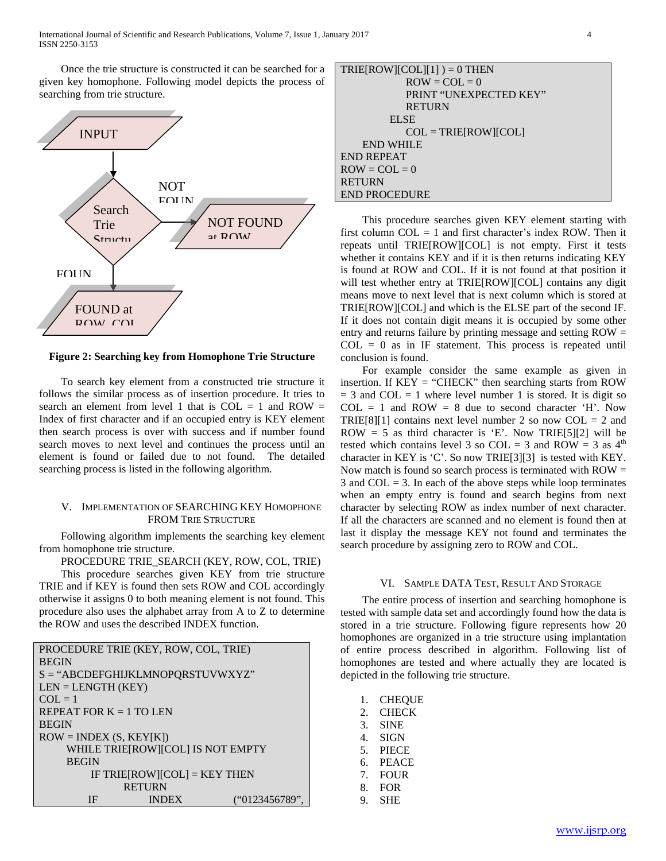Once the trie structure is constructed it can be searched for a given key homophone. Following model depicts the process of searching from trie structure.



**Figure 2: Searching key from Homophone Trie Structure**

 To search key element from a constructed trie structure it follows the similar process as of insertion procedure. It tries to search an element from level 1 that is  $COL = 1$  and  $ROW =$ Index of first character and if an occupied entry is KEY element then search process is over with success and if number found search moves to next level and continues the process until an element is found or failed due to not found. The detailed searching process is listed in the following algorithm.

# V. IMPLEMENTATION OF SEARCHING KEY HOMOPHONE FROM TRIE STRUCTURE

 Following algorithm implements the searching key element from homophone trie structure.

 PROCEDURE TRIE\_SEARCH (KEY, ROW, COL, TRIE) This procedure searches given KEY from trie structure TRIE and if KEY is found then sets ROW and COL accordingly otherwise it assigns 0 to both meaning element is not found. This procedure also uses the alphabet array from A to Z to determine the ROW and uses the described INDEX function.

| PROCEDURE TRIE (KEY, ROW, COL, TRIE) |  |  |  |  |  |  |  |
|--------------------------------------|--|--|--|--|--|--|--|
| <b>BEGIN</b>                         |  |  |  |  |  |  |  |
| $S = "ABCDEFGHIJKLMNOPQRSTUVWXYZ"$   |  |  |  |  |  |  |  |
| $LEN = LENGTH (KEY)$                 |  |  |  |  |  |  |  |
| $COL = 1$                            |  |  |  |  |  |  |  |
| REPEAT FOR $K = 1$ TO LEN            |  |  |  |  |  |  |  |
| <b>BEGIN</b>                         |  |  |  |  |  |  |  |
| $ROW = INDEX(S, KEY[K])$             |  |  |  |  |  |  |  |
| WHILE TRIE[ROW][COL] IS NOT EMPTY    |  |  |  |  |  |  |  |
| <b>BEGIN</b>                         |  |  |  |  |  |  |  |
| IF TRIE[ROW][COL] = $KEY$ THEN       |  |  |  |  |  |  |  |
| <b>RETURN</b>                        |  |  |  |  |  |  |  |
| ("0123456789"<br>IF<br><b>INDEX</b>  |  |  |  |  |  |  |  |

| $TRIE[ROW][COL][1]) = 0 THEN$ |
|-------------------------------|
| $ROW = COL = 0$               |
| PRINT "UNEXPECTED KEY"        |
| <b>RETURN</b>                 |
| EL SE                         |
| $COL = TRUE$ [ROW][ $COL$ ]   |
| <b>END WHILE</b>              |
| END REPEAT                    |
| $ROW = COL = 0$               |
| <b>RETURN</b>                 |
|                               |

END PROCEDURE

 This procedure searches given KEY element starting with first column  $COL = 1$  and first character's index ROW. Then it repeats until TRIE[ROW][COL] is not empty. First it tests whether it contains KEY and if it is then returns indicating KEY is found at ROW and COL. If it is not found at that position it will test whether entry at TRIE[ROW][COL] contains any digit means move to next level that is next column which is stored at TRIE[ROW][COL] and which is the ELSE part of the second IF. If it does not contain digit means it is occupied by some other entry and returns failure by printing message and setting ROW =  $COL = 0$  as in IF statement. This process is repeated until conclusion is found.

 For example consider the same example as given in insertion. If KEY = "CHECK" then searching starts from ROW  $= 3$  and COL  $= 1$  where level number 1 is stored. It is digit so  $COL = 1$  and  $ROW = 8$  due to second character 'H'. Now TRIE[8][1] contains next level number 2 so now  $COL = 2$  and ROW = 5 as third character is 'E'. Now TRIE[5][2] will be tested which contains level 3 so COL = 3 and ROW = 3 as  $4<sup>th</sup>$ character in KEY is 'C'. So now TRIE[3][3] is tested with KEY. Now match is found so search process is terminated with  $ROW =$ 3 and  $COL = 3$ . In each of the above steps while loop terminates when an empty entry is found and search begins from next character by selecting ROW as index number of next character. If all the characters are scanned and no element is found then at last it display the message KEY not found and terminates the search procedure by assigning zero to ROW and COL.

#### VI. SAMPLE DATA TEST, RESULT AND STORAGE

 The entire process of insertion and searching homophone is tested with sample data set and accordingly found how the data is stored in a trie structure. Following figure represents how 20 homophones are organized in a trie structure using implantation of entire process described in algorithm. Following list of homophones are tested and where actually they are located is depicted in the following trie structure.

| 1.<br>2.<br>3.<br>4.<br>5.<br>б.<br>$7_{\scriptscriptstyle{\ddots}}$<br>8. | <b>CHEQUE</b><br><b>CHECK</b><br><b>SINE</b><br><b>SIGN</b><br><b>PIECE</b><br><b>PEACE</b><br><b>FOUR</b><br><b>FOR</b> |
|----------------------------------------------------------------------------|--------------------------------------------------------------------------------------------------------------------------|
| 9.                                                                         | <b>SHE</b>                                                                                                               |
|                                                                            |                                                                                                                          |